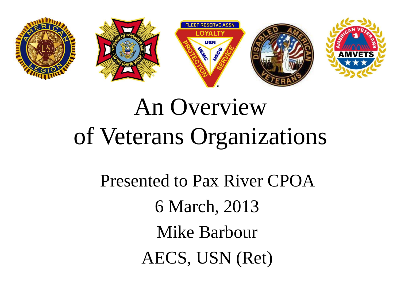

# An Overview of Veterans Organizations

Presented to Pax River CPOA 6 March, 2013 Mike Barbour AECS, USN (Ret)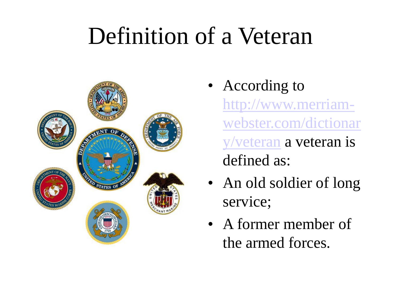## Definition of a Veteran



- According to http://www.merriam[webster.com/dictionar](http://www.merriam-webster.com/dictionary/veteran) y/veteran a veteran is defined as:
- An old soldier of long service;
- A former member of the armed forces.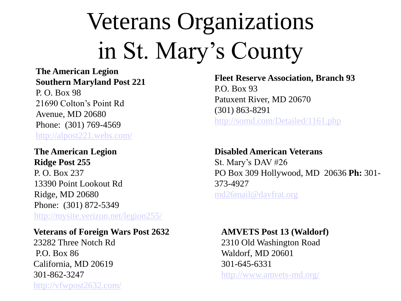# Veterans Organizations in St. Mary's County

#### **The American Legion Southern Maryland Post 221**

P. O. Box 98 21690 Colton's Point Rd Avenue, MD 20680 Phone: (301) 769-4569 <http://alpost221.webs.com/>

#### **The American Legion Ridge Post 255**

P. O. Box 237 13390 Point Lookout Rd Ridge, MD 20680 Phone: (301) 872-5349 <http://mysite.verizon.net/legion255/>

#### **Veterans of Foreign Wars Post 2632**

23282 Three Notch Rd P.O. Box 86 California, MD 20619 301-862-3247 <http://vfwpost2632.com/> **Fleet Reserve Association, Branch 93** P.O. Box 93 Patuxent River, MD 20670 (301) 863-8291 <http://somd.com/Detailed/1161.php>

#### **Disabled American Veterans** St. Mary's DAV #26 PO Box 309 Hollywood, MD 20636 **Ph:** 301- 373-4927 [md26mail@davfrat.org](mailto:md26mail@davfrat.org)

#### **AMVETS Post 13 (Waldorf)**

2310 Old Washington Road Waldorf, MD 20601 301-645-6331

<http://www.amvets-md.org/>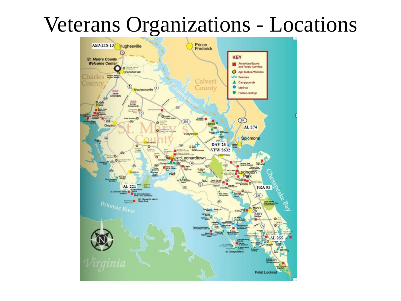### Veterans Organizations - Locations

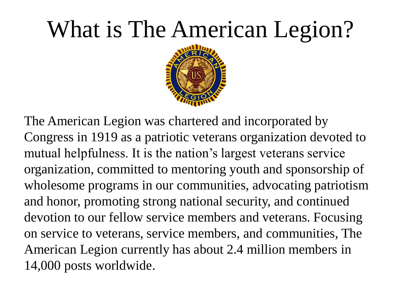## What is The American Legion?



The American Legion was chartered and incorporated by Congress in 1919 as a patriotic veterans organization devoted to mutual helpfulness. It is the nation's largest veterans service organization, committed to mentoring youth and sponsorship of wholesome programs in our communities, advocating patriotism and honor, promoting strong national security, and continued devotion to our fellow service members and veterans. Focusing on service to veterans, service members, and communities, The American Legion currently has about 2.4 million members in 14,000 posts worldwide.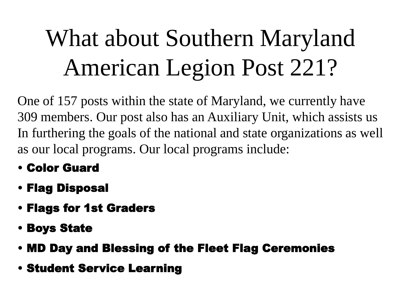# What about Southern Maryland American Legion Post 221?

One of 157 posts within the state of Maryland, we currently have 309 members. Our post also has an Auxiliary Unit, which assists us In furthering the goals of the national and state organizations as well as our local programs. Our local programs include:

- Color Guard
- Flag Disposal
- Flags for 1st Graders
- Boys State
- MD Day and Blessing of the Fleet Flag Ceremonies
- Student Service Learning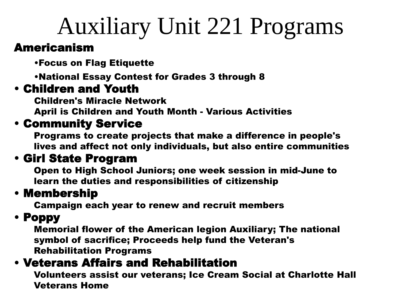## Auxiliary Unit 221 Programs

#### Americanism

•Focus on Flag Etiquette

•National Essay Contest for Grades 3 through 8

#### • Children and Youth

Children's Miracle Network

April is Children and Youth Month - Various Activities

#### • Community Service

Programs to create projects that make a difference in people's lives and affect not only individuals, but also entire communities

#### • Girl State Program

Open to High School Juniors; one week session in mid-June to learn the duties and responsibilities of citizenship

### • Membership

Campaign each year to renew and recruit members

### • Poppy

Memorial flower of the American legion Auxiliary; The national symbol of sacrifice; Proceeds help fund the Veteran's Rehabilitation Programs

### • Veterans Affairs and Rehabilitation

Volunteers assist our veterans; Ice Cream Social at Charlotte Hall Veterans Home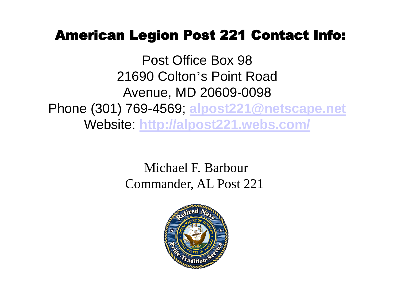### American Legion Post 221 Contact Info:

Post Office Box 98 21690 Colton's Point Road Avenue, MD 20609-0098 Phone (301) 769-4569; **[alpost221@netscape.net](mailto:alpost221@netscape.net)** Website: **<http://alpost221.webs.com/>**

> Michael F. Barbour Commander, AL Post 221

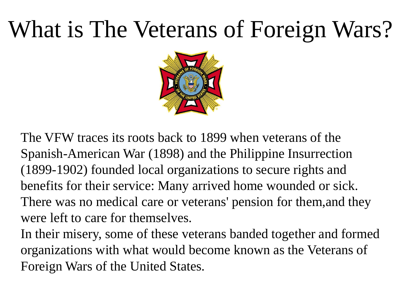## What is The Veterans of Foreign Wars?



The VFW traces its roots back to 1899 when veterans of the Spanish-American War (1898) and the Philippine Insurrection (1899-1902) founded local organizations to secure rights and benefits for their service: Many arrived home wounded or sick. There was no medical care or veterans' pension for them,and they were left to care for themselves.

In their misery, some of these veterans banded together and formed organizations with what would become known as the Veterans of Foreign Wars of the United States.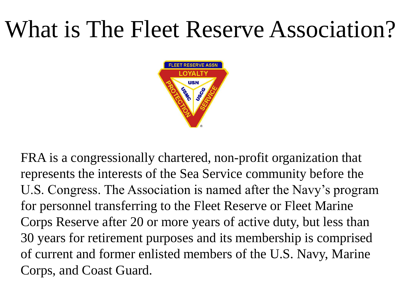### What is The Fleet Reserve Association?



FRA is a congressionally chartered, non-profit organization that represents the interests of the Sea Service community before the U.S. Congress. The Association is named after the Navy's program for personnel transferring to the Fleet Reserve or Fleet Marine Corps Reserve after 20 or more years of active duty, but less than 30 years for retirement purposes and its membership is comprised of current and former enlisted members of the U.S. Navy, Marine Corps, and Coast Guard.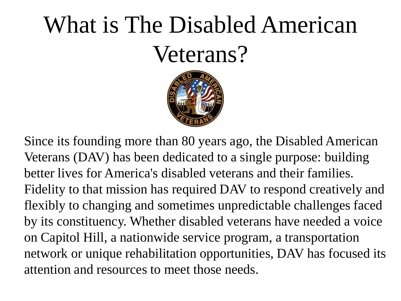# What is The Disabled American Veterans?



Since its founding more than 80 years ago, the Disabled American Veterans (DAV) has been dedicated to a single purpose: building better lives for America's disabled veterans and their families. Fidelity to that mission has required DAV to respond creatively and flexibly to changing and sometimes unpredictable challenges faced by its constituency. Whether disabled veterans have needed a voice on Capitol Hill, a nationwide service program, a transportation network or unique rehabilitation opportunities, DAV has focused its attention and resources to meet those needs.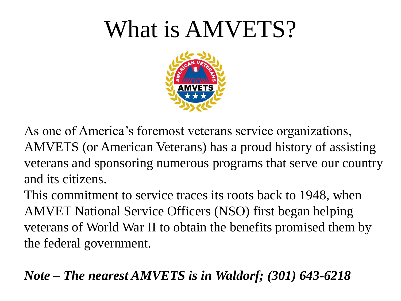### What is AMVETS?



As one of America's foremost veterans service organizations, AMVETS (or American Veterans) has a proud history of assisting veterans and sponsoring numerous programs that serve our country and its citizens.

This commitment to service traces its roots back to 1948, when AMVET National Service Officers (NSO) first began helping veterans of World War II to obtain the benefits promised them by the federal government.

*Note – The nearest AMVETS is in Waldorf; (301) 643-6218*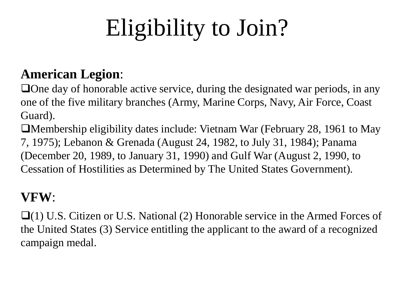# Eligibility to Join?

### **American Legion**:

 $\Box$  One day of honorable active service, during the designated war periods, in any one of the five military branches (Army, Marine Corps, Navy, Air Force, Coast Guard).

Membership eligibility dates include: Vietnam War (February 28, 1961 to May 7, 1975); Lebanon & Grenada (August 24, 1982, to July 31, 1984); Panama (December 20, 1989, to January 31, 1990) and Gulf War (August 2, 1990, to Cessation of Hostilities as Determined by The United States Government).

#### **VFW**:

 $\Box$ (1) U.S. Citizen or U.S. National (2) Honorable service in the Armed Forces of the United States (3) Service entitling the applicant to the award of a recognized campaign medal.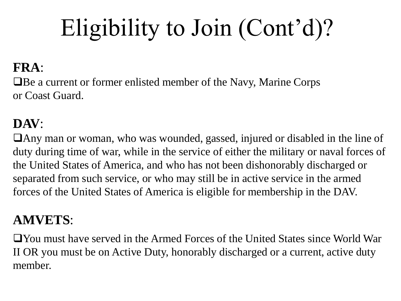# Eligibility to Join (Cont'd)?

### **FRA**:

Be a current or former enlisted member of the Navy, Marine Corps or Coast Guard.

### **DAV**:

Any man or woman, who was wounded, gassed, injured or disabled in the line of duty during time of war, while in the service of either the military or naval forces of the United States of America, and who has not been dishonorably discharged or separated from such service, or who may still be in active service in the armed forces of the United States of America is eligible for membership in the DAV.

### **AMVETS**:

You must have served in the Armed Forces of the United States since World War II OR you must be on Active Duty, honorably discharged or a current, active duty member.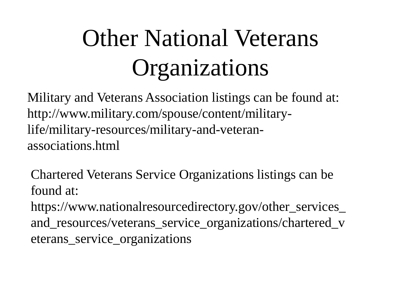# Other National Veterans Organizations

Military and Veterans Association listings can be found at: http://www.military.com/spouse/content/militarylife/military-resources/military-and-veteranassociations.html

Chartered Veterans Service Organizations listings can be found at:

https://www.nationalresourcedirectory.gov/other\_services\_ and\_resources/veterans\_service\_organizations/chartered\_v eterans\_service\_organizations